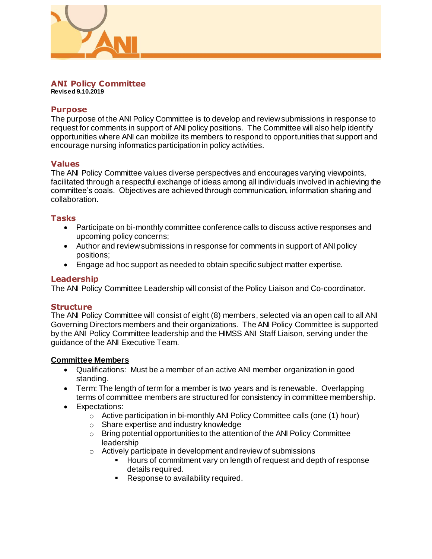

#### **ANI Policy Committee Revised 9.10.2019**

# **Purpose**

The purpose of the ANI Policy Committee is to develop and review submissions in response to request for comments in support of ANI policy positions. The Committee will also help identify opportunities where ANI can mobilize its members to respond to opportunities that support and encourage nursing informatics participation in policy activities.

## **Values**

The ANI Policy Committee values diverse perspectives and encourages varying viewpoints, facilitated through a respectful exchange of ideas among all individuals involved in achieving the committee's coals. Objectives are achieved through communication, information sharing and collaboration.

## **Tasks**

- Participate on bi-monthly committee conference calls to discuss active responses and upcoming policy concerns;
- Author and review submissions in response for comments in support of ANI policy positions;
- Engage ad hoc support as needed to obtain specific subject matter expertise.

# **Leadership**

The ANI Policy Committee Leadership will consist of the Policy Liaison and Co-coordinator.

## **Structure**

The ANI Policy Committee will consist of eight (8) members, selected via an open call to all ANI Governing Directors members and their organizations. The ANI Policy Committee is supported by the ANI Policy Committee leadership and the HIMSS ANI Staff Liaison, serving under the guidance of the ANI Executive Team.

## **Committee Members**

- Qualifications: Must be a member of an active ANI member organization in good standing.
- Term: The length of term for a member is two years and is renewable. Overlapping terms of committee members are structured for consistency in committee membership.
- Expectations:
	- o Active participation in bi-monthly ANI Policy Committee calls (one (1) hour)
	- o Share expertise and industry knowledge
	- o Bring potential opportunities to the attention of the ANI Policy Committee leadership
	- o Actively participate in development and review of submissions
		- **Hours of commitment vary on length of request and depth of response** details required.
		- **Response to availability required.**